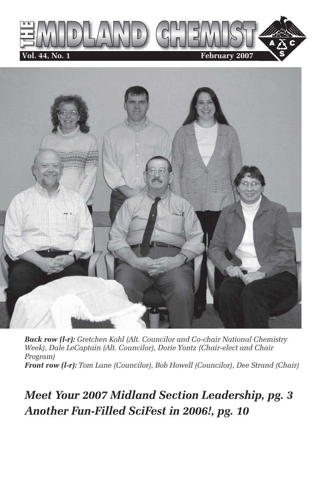



*Back row (l-r): Gretchen Kohl (Alt. Councilor and Co-chair National Chemistry Week), Dale LeCaptain (Alt. Councilor), Dorie Yontz (Chair-elect and Chair Program) Front row (l-r): Tom Lane (Councilor), Bob Howell (Councilor), Dee Strand (Chair)*

### *Meet Your 2007 Midland Section Leadership, pg. 3 Another Fun-Filled SciFest in 2006!, pg. 10*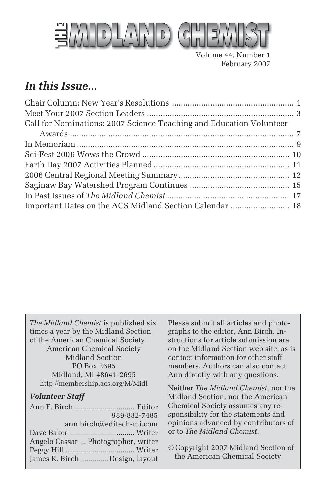

Volume 44, Number 1 February 2007

### *In this Issue...*

*The Midland Chemist* is published six times a year by the Midland Section of the American Chemical Society. American Chemical Society Midland Section PO Box 2695 Midland, MI 48641-2695 http://membership.acs.org/M/Midl

#### *Volunteer Staff*

| 989-832-7485                        |
|-------------------------------------|
| ann.birch@editech-mi.com            |
|                                     |
| Angelo Cassar  Photographer, writer |
|                                     |
| James R. Birch  Design, layout      |
|                                     |

Please submit all articles and photographs to the editor, Ann Birch. Instructions for article submission are on the Midland Section web site, as is contact information for other staff members. Authors can also contact Ann directly with any questions.

Neither *The Midland Chemist*, nor the Midland Section, nor the American Chemical Society assumes any responsibility for the statements and opinions advanced by contributors of or to *The Midland Chemist*.

© Copyright 2007 Midland Section of the American Chemical Society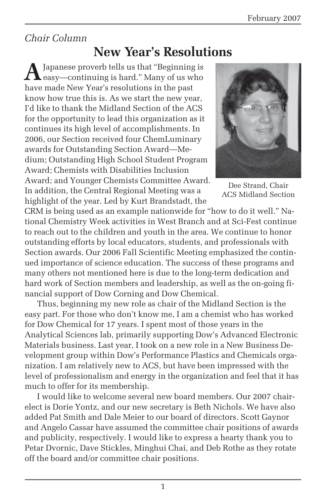### *Chair Column*

### **New Year's Resolutions**

**A** Japanese proverb tells us that "Beginning is<br>easy—continuing is hard." Many of us who have made New Year's resolutions in the past know how true this is. As we start the new year, I'd like to thank the Midland Section of the ACS for the opportunity to lead this organization as it continues its high level of accomplishments. In 2006, our Section received four ChemLuminary awards for Outstanding Section Award—Medium; Outstanding High School Student Program Award; Chemists with Disabilities Inclusion Award; and Younger Chemists Committee Award. In addition, the Central Regional Meeting was a highlight of the year. Led by Kurt Brandstadt, the



Dee Strand, Chair ACS Midland Section

CRM is being used as an example nationwide for "how to do it well." National Chemistry Week activities in West Branch and at Sci-Fest continue to reach out to the children and youth in the area. We continue to honor outstanding efforts by local educators, students, and professionals with Section awards. Our 2006 Fall Scientific Meeting emphasized the continued importance of science education. The success of these programs and many others not mentioned here is due to the long-term dedication and hard work of Section members and leadership, as well as the on-going financial support of Dow Corning and Dow Chemical.

Thus, beginning my new role as chair of the Midland Section is the easy part. For those who don't know me, I am a chemist who has worked for Dow Chemical for 17 years. I spent most of those years in the Analytical Sciences lab, primarily supporting Dow's Advanced Electronic Materials business. Last year, I took on a new role in a New Business Development group within Dow's Performance Plastics and Chemicals organization. I am relatively new to ACS, but have been impressed with the level of professionalism and energy in the organization and feel that it has much to offer for its membership.

I would like to welcome several new board members. Our 2007 chairelect is Dorie Yontz, and our new secretary is Beth Nichols. We have also added Pat Smith and Dale Meier to our board of directors. Scott Gaynor and Angelo Cassar have assumed the committee chair positions of awards and publicity, respectively. I would like to express a hearty thank you to Petar Dvornic, Dave Stickles, Minghui Chai, and Deb Rothe as they rotate off the board and/or committee chair positions.

1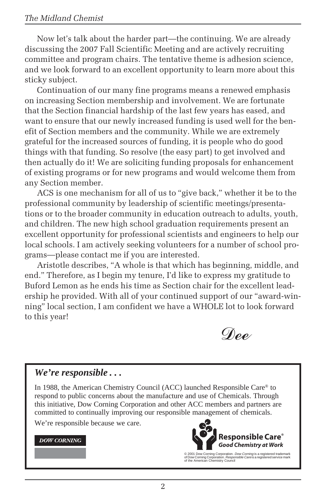#### *The Midland Chemist*

Now let's talk about the harder part—the continuing. We are already discussing the 2007 Fall Scientific Meeting and are actively recruiting committee and program chairs. The tentative theme is adhesion science, and we look forward to an excellent opportunity to learn more about this sticky subject.

Continuation of our many fine programs means a renewed emphasis on increasing Section membership and involvement. We are fortunate that the Section financial hardship of the last few years has eased, and want to ensure that our newly increased funding is used well for the benefit of Section members and the community. While we are extremely grateful for the increased sources of funding, it is people who do good things with that funding. So resolve (the easy part) to get involved and then actually do it! We are soliciting funding proposals for enhancement of existing programs or for new programs and would welcome them from any Section member.

ACS is one mechanism for all of us to "give back," whether it be to the professional community by leadership of scientific meetings/presentations or to the broader community in education outreach to adults, youth, and children. The new high school graduation requirements present an excellent opportunity for professional scientists and engineers to help our local schools. I am actively seeking volunteers for a number of school programs—please contact me if you are interested.

Aristotle describes, "A whole is that which has beginning, middle, and end." Therefore, as I begin my tenure, I'd like to express my gratitude to Buford Lemon as he ends his time as Section chair for the excellent leadership he provided. With all of your continued support of our "award-winning" local section, I am confident we have a WHOLE lot to look forward to this year!



#### *We're responsible . . .*

In 1988, the American Chemistry Council (ACC) launched Responsible Care® to respond to public concerns about the manufacture and use of Chemicals. Through this initiative, Dow Corning Corporation and other ACC members and partners are committed to continually improving our responsible management of chemicals.

We're responsible because we care.

#### **DOW CORNING**



© 2001 Dow Corning Corporation. *Dow Corning* is a registered trademark<br>of Dow Corning Corporation. *Responsible Care* is a registered service mark<br>of the American Chemistry Council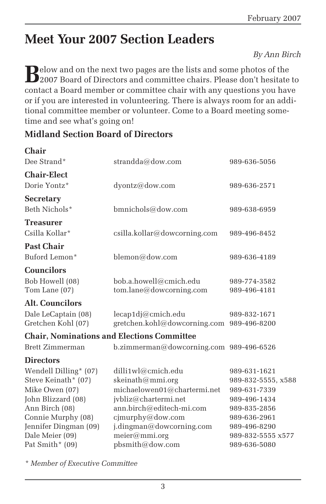## **Meet Your 2007 Section Leaders**

*By Ann Birch*

**B**elow and on the next two pages are the lists and some photos of the<br>2007 Board of Directors and committee chairs. Please don't hesitate to contact a Board member or committee chair with any questions you have or if you are interested in volunteering. There is always room for an additional committee member or volunteer. Come to a Board meeting sometime and see what's going on!

#### **Midland Section Board of Directors**

| <b>Chair</b>           |                                                   |                                   |
|------------------------|---------------------------------------------------|-----------------------------------|
| Dee Strand*            | strandda@dow.com                                  | 989-636-5056                      |
| <b>Chair-Elect</b>     |                                                   |                                   |
| Dorie Yontz*           | dyontz@dow.com                                    | 989-636-2571                      |
| <b>Secretary</b>       |                                                   |                                   |
| Beth Nichols*          | bmnichols@dow.com                                 | 989-638-6959                      |
| <b>Treasurer</b>       |                                                   |                                   |
| Csilla Kollar*         | csilla.kollar@dowcorning.com                      | 989-496-8452                      |
| <b>Past Chair</b>      |                                                   |                                   |
| Buford Lemon*          | blemon@down.com                                   | 989-636-4189                      |
| <b>Councilors</b>      |                                                   |                                   |
| Bob Howell (08)        | bob.a.howell@cmich.edu                            | 989-774-3582                      |
| Tom Lane (07)          | tom.lang@downcoming.com                           | 989-496-4181                      |
| <b>Alt. Councilors</b> |                                                   |                                   |
| Dale LeCaptain (08)    | lecap1dj@cmich.edu                                | 989-832-1671                      |
| Gretchen Kohl (07)     | gretchen.kohl@dowcorning.com                      | 989-496-8200                      |
|                        | <b>Chair, Nominations and Elections Committee</b> |                                   |
| Brett Zimmerman        | b.zimmerman@dowcorning.com 989-496-6526           |                                   |
| <b>Directors</b>       |                                                   |                                   |
| Wendell Dilling* (07)  | dilli1wl@cmich.edu                                | 989-631-1621                      |
| Steve Keinath* (07)    | skeinath@mmi.org                                  | 989-832-5555, x588                |
| Mike Owen (07)         | michaelowen01@chartermi.net                       | 989-631-7339                      |
| John Blizzard (08)     | jvbliz@chartermi.net                              | 989-496-1434                      |
| Ann Birch (08)         | ann.birch@editech-mi.com                          | 989-835-2856                      |
| Connie Murphy (08)     | cjmurphy@dow.com                                  | 989-636-2961                      |
| Jennifer Dingman (09)  | j.dingman@dowcorning.com                          | 989-496-8290                      |
| Dale Meier (09)        | meier@mmi.org                                     | 989-832-5555 x577<br>989-636-5080 |
| Pat Smith* $(09)$      | pbsmith@dow.com                                   |                                   |

*\* Member of Executive Committee*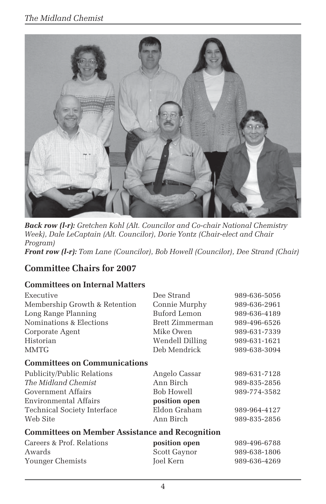

*Back row (l-r): Gretchen Kohl (Alt. Councilor and Co-chair National Chemistry Week), Dale LeCaptain (Alt. Councilor), Dorie Yontz (Chair-elect and Chair Program) Front row (l-r): Tom Lane (Councilor), Bob Howell (Councilor), Dee Strand (Chair)*

#### **Committee Chairs for 2007**

#### **Committees on Internal Matters**

| Executive                                              | Dee Strand                                              | 989-636-5056 |
|--------------------------------------------------------|---------------------------------------------------------|--------------|
| Membership Growth & Retention                          | Connie Murphy                                           | 989-636-2961 |
| Long Range Planning                                    | Buford Lemon                                            | 989-636-4189 |
| Nominations & Elections                                | Brett Zimmerman                                         | 989-496-6526 |
| Corporate Agent                                        | Mike Owen                                               | 989-631-7339 |
| Historian                                              | Wendell Dilling                                         | 989-631-1621 |
| <b>MMTG</b>                                            | Deb Mendrick                                            | 989-638-3094 |
| <b>Committees on Communications</b>                    |                                                         |              |
| Publicity/Public Relations                             | Angelo Cassar                                           | 989-631-7128 |
| The Midland Chemist                                    | Ann Birch                                               | 989-835-2856 |
| Government Affairs                                     | Bob Howell                                              | 989-774-3582 |
| Environmental Affairs                                  | position open                                           |              |
| Technical Society Interface                            | Eldon Graham                                            | 989-964-4127 |
| Web Site                                               | Ann Birch                                               | 989-835-2856 |
| <b>Committees on Member Assistance and Recognition</b> |                                                         |              |
| Careers & Prof. Relations                              | position open                                           | 989-496-6788 |
| $A$ urondo                                             | $\mathcal{C}_{\text{out}}$ $\mathcal{C}_{\text{atmon}}$ | 00062001006  |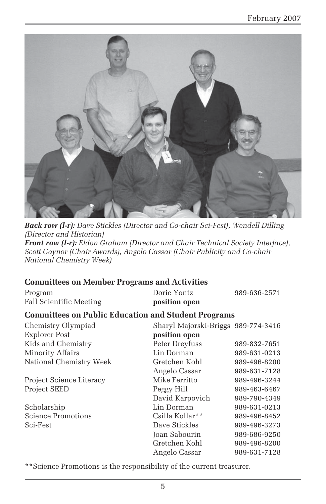

*Back row (l-r): Dave Stickles (Director and Co-chair Sci-Fest), Wendell Dilling (Director and Historian) Front row (l-r): Eldon Graham (Director and Chair Technical Society Interface), Scott Gaynor (Chair Awards), Angelo Cassar (Chair Publicity and Co-chair National Chemistry Week)*

#### **Committees on Member Programs and Activities**

| Program                                                    | Dorie Yontz                         | 989-636-2571 |
|------------------------------------------------------------|-------------------------------------|--------------|
| <b>Fall Scientific Meeting</b>                             | position open                       |              |
| <b>Committees on Public Education and Student Programs</b> |                                     |              |
| Chemistry Olympiad                                         | Sharyl Majorski-Briggs 989-774-3416 |              |
| <b>Explorer Post</b>                                       | position open                       |              |
| Kids and Chemistry                                         | Peter Dreyfuss                      | 989-832-7651 |
| Minority Affairs                                           | Lin Dorman                          | 989-631-0213 |
| National Chemistry Week                                    | Gretchen Kohl                       | 989-496-8200 |
|                                                            | Angelo Cassar                       | 989-631-7128 |
| Project Science Literacy                                   | Mike Ferritto                       | 989-496-3244 |
| <b>Project SEED</b>                                        | Peggy Hill                          | 989-463-6467 |
|                                                            | David Karpovich                     | 989-790-4349 |
| Scholarship                                                | Lin Dorman                          | 989-631-0213 |
| <b>Science Promotions</b>                                  | Csilla Kollar**                     | 989-496-8452 |
| Sci-Fest                                                   | Dave Stickles                       | 989-496-3273 |
|                                                            | Joan Sabourin                       | 989-686-9250 |
|                                                            | Gretchen Kohl                       | 989-496-8200 |
|                                                            | Angelo Cassar                       | 989-631-7128 |

\*\*Science Promotions is the responsibility of the current treasurer.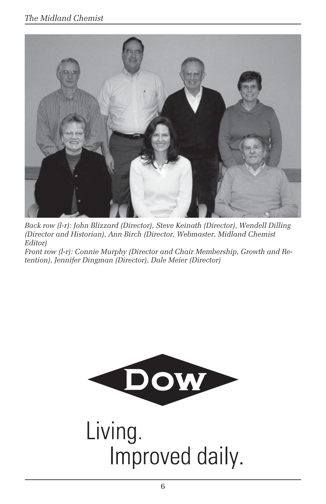#### *The Midland Chemist*



*Back row (l-r): John Blizzard (Director), Steve Keinath (Director), Wendell Dilling (Director and Historian), Ann Birch (Director, Webmaster, Midland Chemist Editor)*

*Front row (l-r): Connie Murphy (Director and Chair Membership, Growth and Retention), Jennifer Dingman (Director), Dale Meier (Director)*



Living. Improved daily.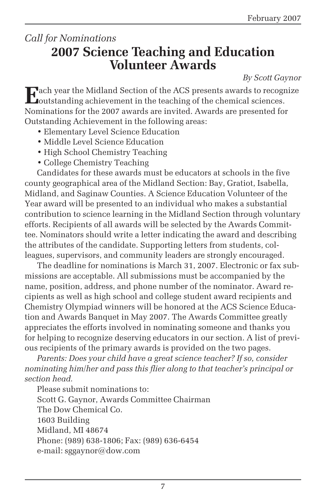### *Call for Nominations* **2007 Science Teaching and Education Volunteer Awards**

*By Scott Gaynor*

**E**ach year the Midland Section of the ACS presents awards to recognize **Joutstanding achievement in the teaching of the chemical sciences.** Nominations for the 2007 awards are invited. Awards are presented for Outstanding Achievement in the following areas:

- Elementary Level Science Education
- Middle Level Science Education
- High School Chemistry Teaching
- College Chemistry Teaching

Candidates for these awards must be educators at schools in the five county geographical area of the Midland Section: Bay, Gratiot, Isabella, Midland, and Saginaw Counties. A Science Education Volunteer of the Year award will be presented to an individual who makes a substantial contribution to science learning in the Midland Section through voluntary efforts. Recipients of all awards will be selected by the Awards Committee. Nominators should write a letter indicating the award and describing the attributes of the candidate. Supporting letters from students, colleagues, supervisors, and community leaders are strongly encouraged.

The deadline for nominations is March 31, 2007. Electronic or fax submissions are acceptable. All submissions must be accompanied by the name, position, address, and phone number of the nominator. Award recipients as well as high school and college student award recipients and Chemistry Olympiad winners will be honored at the ACS Science Education and Awards Banquet in May 2007. The Awards Committee greatly appreciates the efforts involved in nominating someone and thanks you for helping to recognize deserving educators in our section. A list of previous recipients of the primary awards is provided on the two pages.

*Parents: Does your child have a great science teacher? If so, consider nominating him/her and pass this flier along to that teacher's principal or section head.*

Please submit nominations to: Scott G. Gaynor, Awards Committee Chairman The Dow Chemical Co. 1603 Building Midland, MI 48674 Phone: (989) 638-1806; Fax: (989) 636-6454 e-mail: sggaynor@dow.com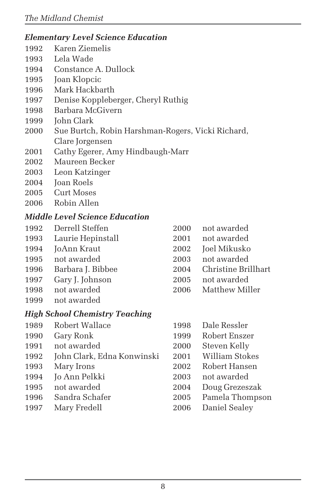#### *Elementary Level Science Education*

- 1992 Karen Ziemelis
- 1993 Lela Wade
- 1994 Constance A. Dullock
- 1995 Joan Klopcic
- 1996 Mark Hackbarth
- 1997 Denise Koppleberger, Cheryl Ruthig
- 1998 Barbara McGivern
- 1999 John Clark
- 2000 Sue Burtch, Robin Harshman-Rogers, Vicki Richard, Clare Jorgensen
- 2001 Cathy Egerer, Amy Hindbaugh-Marr
- 2002 Maureen Becker
- 2003 Leon Katzinger
- 2004 Joan Roels
- 2005 Curt Moses
- 2006 Robin Allen

#### *Middle Level Science Education*

- 1992 Derrell Steffen 2000 not awarded
- 1993 Laurie Hepinstall 2001 not awarded
- 
- 
- 
- 1997 Gary J. Johnson 2005 not awarded
- 
- 1999 not awarded

#### *High School Chemistry Teaching*

- 1989 Robert Wallace 1998 Dale Ressler
- 
- 
- 1992 John Clark, Edna Konwinski 2001 William Stokes
- 
- 
- 
- 
- 
- 
- 
- 1994 JoAnn Kraut 2002 Joel Mikusko
- 1995 not awarded 2003 not awarded
- 1996 Barbara J. Bibbee 2004 Christine Brillhart
	-
- 1998 not awarded 2006 Matthew Miller
	-
- 1990 Gary Ronk 1999 Robert Enszer
- 1991 not awarded 2000 Steven Kelly
	-
- 1993 Mary Irons 2002 Robert Hansen
	-
- 1995 not awarded 2004 Doug Grezeszak
- 1996 Sandra Schafer 2005 Pamela Thompson
- 1997 Mary Fredell 2006 Daniel Sealey

1994 Jo Ann Pelkki 2003 not awarded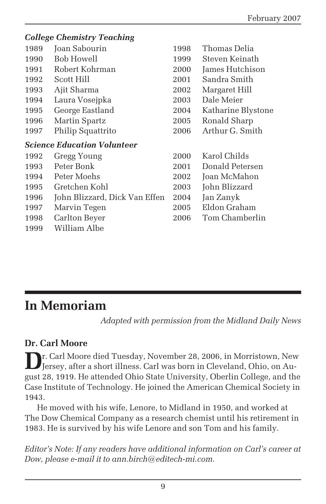#### *College Chemistry Teaching* 1989 Joan Sabourin 1998 Thomas Delia 1990 Bob Howell 1999 Steven Keinath 1991 Robert Kohrman 2000 James Hutchison 1992 Scott Hill 2001 Sandra Smith 1993 Ajit Sharma 2002 Margaret Hill 1994 Laura Vosejpka 2003 Dale Meier 1995 George Eastland 2004 Katharine Blystone 1996 Martin Spartz 2005 Ronald Sharp 1997 Philip Squattrito 2006 Arthur G. Smith *Science Education Volunteer* 1992 Gregg Young 2000 Karol Childs 1993 Peter Bonk 2001 Donald Petersen 1994 Peter Moehs 2002 Joan McMahon 1995 Gretchen Kohl 2003 John Blizzard 1996 John Blizzard, Dick Van Effen 2004 Jan Zanyk 1997 Marvin Tegen 2005 Eldon Graham 1998 Carlton Beyer 2006 Tom Chamberlin 1999 William Albe

## **In Memoriam**

*Adapted with permission from the Midland Daily News*

#### **Dr. Carl Moore**

**D**r. Carl Moore died Tuesday, November 28, 2006, in Morristown, New Jersey, after a short illness. Carl was born in Cleveland, Ohio, on August 28, 1919. He attended Ohio State University, Oberlin College, and the Case Institute of Technology. He joined the American Chemical Society in 1943.

He moved with his wife, Lenore, to Midland in 1950, and worked at The Dow Chemical Company as a research chemist until his retirement in 1983. He is survived by his wife Lenore and son Tom and his family.

*Editor's Note: If any readers have additional information on Carl's career at Dow, please e-mail it to ann.birch@editech-mi.com.*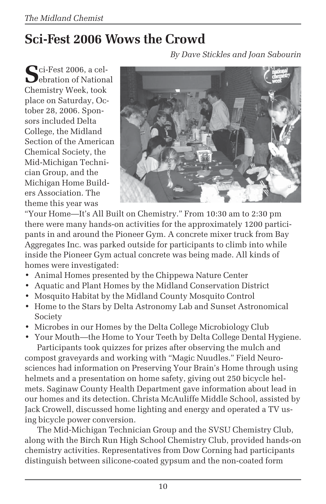# **Sci-Fest 2006 Wows the Crowd**

**S**ci-Fest 2006, a cel-**D**ebration of National Chemistry Week, took place on Saturday, October 28, 2006. Sponsors included Delta College, the Midland Section of the American Chemical Society, the Mid-Michigan Technician Group, and the Michigan Home Builders Association. The theme this year was



"Your Home—It's All Built on Chemistry." From 10:30 am to 2:30 pm there were many hands-on activities for the approximately 1200 participants in and around the Pioneer Gym. A concrete mixer truck from Bay Aggregates Inc. was parked outside for participants to climb into while inside the Pioneer Gym actual concrete was being made. All kinds of homes were investigated:

- Animal Homes presented by the Chippewa Nature Center
- Aquatic and Plant Homes by the Midland Conservation District
- Mosquito Habitat by the Midland County Mosquito Control
- Home to the Stars by Delta Astronomy Lab and Sunset Astronomical Society
- Microbes in our Homes by the Delta College Microbiology Club

• Your Mouth—the Home to Your Teeth by Delta College Dental Hygiene. Participants took quizzes for prizes after observing the mulch and compost graveyards and working with "Magic Nuudles." Field Neurosciences had information on Preserving Your Brain's Home through using helmets and a presentation on home safety, giving out 250 bicycle helmets. Saginaw County Health Department gave information about lead in our homes and its detection. Christa McAuliffe Middle School, assisted by Jack Crowell, discussed home lighting and energy and operated a TV using bicycle power conversion.

The Mid-Michigan Technician Group and the SVSU Chemistry Club, along with the Birch Run High School Chemistry Club, provided hands-on chemistry activities. Representatives from Dow Corning had participants distinguish between silicone-coated gypsum and the non-coated form

*By Dave Stickles and Joan Sabourin*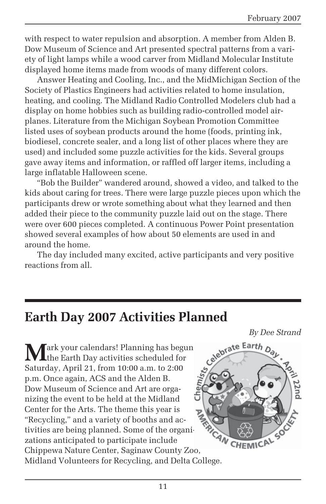with respect to water repulsion and absorption. A member from Alden B. Dow Museum of Science and Art presented spectral patterns from a variety of light lamps while a wood carver from Midland Molecular Institute displayed home items made from woods of many different colors.

Answer Heating and Cooling, Inc., and the MidMichigan Section of the Society of Plastics Engineers had activities related to home insulation, heating, and cooling. The Midland Radio Controlled Modelers club had a display on home hobbies such as building radio-controlled model airplanes. Literature from the Michigan Soybean Promotion Committee listed uses of soybean products around the home (foods, printing ink, biodiesel, concrete sealer, and a long list of other places where they are used) and included some puzzle activities for the kids. Several groups gave away items and information, or raffled off larger items, including a large inflatable Halloween scene.

"Bob the Builder" wandered around, showed a video, and talked to the kids about caring for trees. There were large puzzle pieces upon which the participants drew or wrote something about what they learned and then added their piece to the community puzzle laid out on the stage. There were over 600 pieces completed. A continuous Power Point presentation showed several examples of how about 50 elements are used in and around the home.

The day included many excited, active participants and very positive reactions from all.

### **Earth Day 2007 Activities Planned**

**Mark your calendars! Planning has begun** the Earth Day activities scheduled for Saturday, April 21, from 10:00 a.m. to 2:00 p.m. Once again, ACS and the Alden B. Dow Museum of Science and Art are organizing the event to be held at the Midland Center for the Arts. The theme this year is "Recycling," and a variety of booths and activities are being planned. Some of the organizations anticipated to participate include Chippewa Nature Center, Saginaw County Zoo, Midland Volunteers for Recycling, and Delta College.

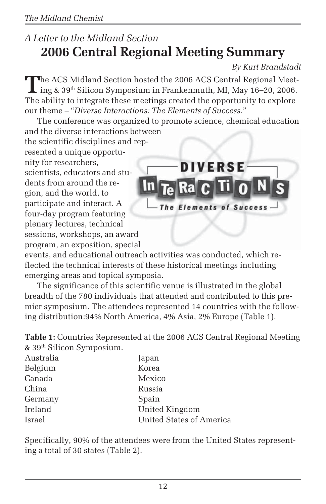### *A Letter to the Midland Section* **2006 Central Regional Meeting Summary**

*By Kurt Brandstadt*

**T**he ACS Midland Section hosted the 2006 ACS Central Regional Meet- $\mathsf{L}$  ing & 39<sup>th</sup> Silicon Symposium in Frankenmuth, MI, May 16–20, 2006. The ability to integrate these meetings created the opportunity to explore our theme – "*Diverse Interactions: The Elements of Success.*"

The conference was organized to promote science, chemical education and the diverse interactions between

the scientific disciplines and represented a unique opportunity for researchers, scientists, educators and students from around the region, and the world, to participate and interact. A four-day program featuring plenary lectures, technical sessions, workshops, an award program, an exposition, special



events, and educational outreach activities was conducted, which reflected the technical interests of these historical meetings including emerging areas and topical symposia.

The significance of this scientific venue is illustrated in the global breadth of the 780 individuals that attended and contributed to this premier symposium. The attendees represented 14 countries with the following distribution:94% North America, 4% Asia, 2% Europe (Table 1).

**Table 1:** Countries Represented at the 2006 ACS Central Regional Meeting & 39th Silicon Symposium.

| Australia | Japan                    |
|-----------|--------------------------|
| Belgium   | Korea                    |
| Canada    | Mexico                   |
| China     | Russia                   |
| Germany   | Spain                    |
| Ireland   | United Kingdom           |
| Israel    | United States of America |

Specifically, 90% of the attendees were from the United States representing a total of 30 states (Table 2).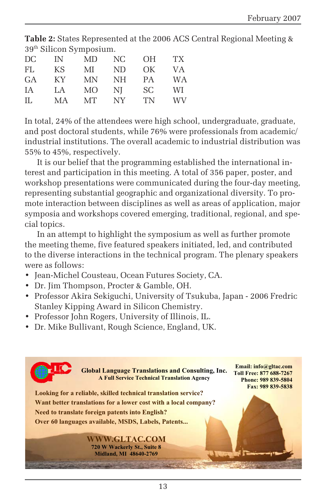**Table 2:** States Represented at the 2006 ACS Central Regional Meeting & 39th Silicon Symposium.

| DC  | IN  | MD.       | NC              | 0H        | TX <sup>-</sup> |
|-----|-----|-----------|-----------------|-----------|-----------------|
| FL. | KS  | МI        | ND.             | OK        | VA.             |
| GA  | KY. | <b>MN</b> | NH              | <b>PA</b> | <b>WA</b>       |
| IА  | LA  | МO        | NI              | SC.       | WI.             |
| IL  | MA  | MТ        | NY <sub>.</sub> | TN        | WV              |

In total, 24% of the attendees were high school, undergraduate, graduate, and post doctoral students, while 76% were professionals from academic/ industrial institutions. The overall academic to industrial distribution was 55% to 45%, respectively.

It is our belief that the programming established the international interest and participation in this meeting. A total of 356 paper, poster, and workshop presentations were communicated during the four-day meeting, representing substantial geographic and organizational diversity. To promote interaction between disciplines as well as areas of application, major symposia and workshops covered emerging, traditional, regional, and special topics.

In an attempt to highlight the symposium as well as further promote the meeting theme, five featured speakers initiated, led, and contributed to the diverse interactions in the technical program. The plenary speakers were as follows:

- Jean-Michel Cousteau, Ocean Futures Society, CA.
- Dr. Jim Thompson, Procter & Gamble, OH.
- Professor Akira Sekiguchi, University of Tsukuba, Japan 2006 Fredric Stanley Kipping Award in Silicon Chemistry.
- Professor John Rogers, University of Illinois, IL.
- Dr. Mike Bullivant, Rough Science, England, UK.

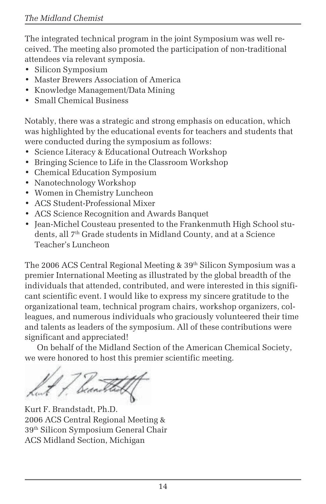The integrated technical program in the joint Symposium was well received. The meeting also promoted the participation of non-traditional attendees via relevant symposia.

- Silicon Symposium
- Master Brewers Association of America
- Knowledge Management/Data Mining
- Small Chemical Business

Notably, there was a strategic and strong emphasis on education, which was highlighted by the educational events for teachers and students that were conducted during the symposium as follows:

- Science Literacy & Educational Outreach Workshop
- Bringing Science to Life in the Classroom Workshop
- Chemical Education Symposium
- Nanotechnology Workshop
- Women in Chemistry Luncheon
- ACS Student-Professional Mixer
- ACS Science Recognition and Awards Banquet
- Jean-Michel Cousteau presented to the Frankenmuth High School students, all 7<sup>th</sup> Grade students in Midland County, and at a Science Teacher's Luncheon

The 2006 ACS Central Regional Meeting  $& 39<sup>th</sup>$  Silicon Symposium was a premier International Meeting as illustrated by the global breadth of the individuals that attended, contributed, and were interested in this significant scientific event. I would like to express my sincere gratitude to the organizational team, technical program chairs, workshop organizers, colleagues, and numerous individuals who graciously volunteered their time and talents as leaders of the symposium. All of these contributions were significant and appreciated!

On behalf of the Midland Section of the American Chemical Society, we were honored to host this premier scientific meeting.

Sincerely,

Kurt F. Brandstadt, Ph.D. 2006 ACS Central Regional Meeting & 39th Silicon Symposium General Chair ACS Midland Section, Michigan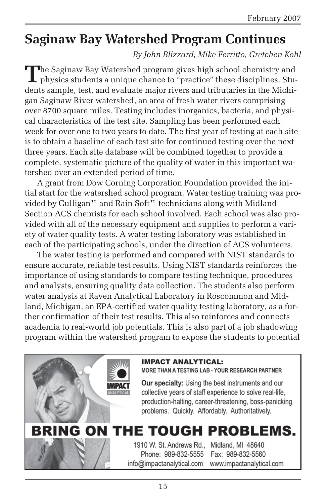### **Saginaw Bay Watershed Program Continues**

*By John Blizzard, Mike Ferritto, Gretchen Kohl*

The Saginaw Bay Watershed program gives high school chemistry and physics students a unique chance to "practice" these disciplines. Students sample, test, and evaluate major rivers and tributaries in the Michigan Saginaw River watershed, an area of fresh water rivers comprising over 8700 square miles. Testing includes inorganics, bacteria, and physical characteristics of the test site. Sampling has been performed each week for over one to two years to date. The first year of testing at each site is to obtain a baseline of each test site for continued testing over the next three years. Each site database will be combined together to provide a complete, systematic picture of the quality of water in this important watershed over an extended period of time.

A grant from Dow Corning Corporation Foundation provided the initial start for the watershed school program. Water testing training was provided by Culligan™ and Rain Soft™ technicians along with Midland Section ACS chemists for each school involved. Each school was also provided with all of the necessary equipment and supplies to perform a variety of water quality tests. A water testing laboratory was established in each of the participating schools, under the direction of ACS volunteers.

The water testing is performed and compared with NIST standards to ensure accurate, reliable test results. Using NIST standards reinforces the importance of using standards to compare testing technique, procedures and analysts, ensuring quality data collection. The students also perform water analysis at Raven Analytical Laboratory in Roscommon and Midland, Michigan, an EPA-certified water quality testing laboratory, as a further confirmation of their test results. This also reinforces and connects academia to real-world job potentials. This is also part of a job shadowing program within the watershed program to expose the students to potential



MORE THAN A TESTING LAB - YOUR RESEARCH PARTNER

Our specialty: Using the best instruments and our collective years of staff experience to solve real-life, production-halting, career-threatening, boss-panicking problems. Quickly. Affordably. Authoritatively.

# BRING ON THE TOUGH PROBLEMS.

1910 W. St. Andrews Rd., Midland, MI 48640 Phone: 989-832-5555 info@impactanalytical.com

Fax: 989-832-5560 www.impactanalytical.com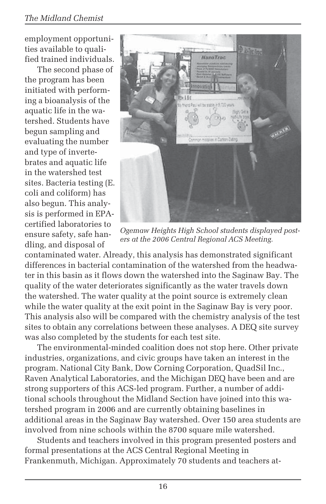employment opportunities available to qualified trained individuals.

The second phase of the program has been initiated with performing a bioanalysis of the aquatic life in the watershed. Students have begun sampling and evaluating the number and type of invertebrates and aquatic life in the watershed test sites. Bacteria testing (E. coli and coliform) has also begun. This analysis is performed in EPAcertified laboratories to ensure safety, safe handling, and disposal of



*Ogemaw Heights High School students displayed posters at the 2006 Central Regional ACS Meeting.*

contaminated water. Already, this analysis has demonstrated significant differences in bacterial contamination of the watershed from the headwater in this basin as it flows down the watershed into the Saginaw Bay. The quality of the water deteriorates significantly as the water travels down the watershed. The water quality at the point source is extremely clean while the water quality at the exit point in the Saginaw Bay is very poor. This analysis also will be compared with the chemistry analysis of the test sites to obtain any correlations between these analyses. A DEQ site survey was also completed by the students for each test site.

The environmental-minded coalition does not stop here. Other private industries, organizations, and civic groups have taken an interest in the program. National City Bank, Dow Corning Corporation, QuadSil Inc., Raven Analytical Laboratories, and the Michigan DEQ have been and are strong supporters of this ACS-led program. Further, a number of additional schools throughout the Midland Section have joined into this watershed program in 2006 and are currently obtaining baselines in additional areas in the Saginaw Bay watershed. Over 150 area students are involved from nine schools within the 8700 square mile watershed.

Students and teachers involved in this program presented posters and formal presentations at the ACS Central Regional Meeting in Frankenmuth, Michigan. Approximately 70 students and teachers at-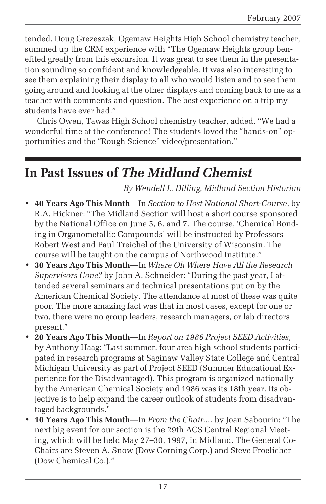tended. Doug Grezeszak, Ogemaw Heights High School chemistry teacher, summed up the CRM experience with "The Ogemaw Heights group benefited greatly from this excursion. It was great to see them in the presentation sounding so confident and knowledgeable. It was also interesting to see them explaining their display to all who would listen and to see them going around and looking at the other displays and coming back to me as a teacher with comments and question. The best experience on a trip my students have ever had."

Chris Owen, Tawas High School chemistry teacher, added, "We had a wonderful time at the conference! The students loved the "hands-on" opportunities and the "Rough Science" video/presentation."

## **In Past Issues of** *The Midland Chemist*

*By Wendell L. Dilling, Midland Section Historian*

- **40 Years Ago This Month**—In *Section to Host National Short-Course*, by R.A. Hickner: "The Midland Section will host a short course sponsored by the National Office on June 5, 6, and 7. The course, 'Chemical Bonding in Organometallic Compounds' will be instructed by Professors Robert West and Paul Treichel of the University of Wisconsin. The course will be taught on the campus of Northwood Institute."
- **30 Years Ago This Month**—In *Where Oh Where Have All the Research Supervisors Gone?* by John A. Schneider: "During the past year, I attended several seminars and technical presentations put on by the American Chemical Society. The attendance at most of these was quite poor. The more amazing fact was that in most cases, except for one or two, there were no group leaders, research managers, or lab directors present."
- **20 Years Ago This Month**—In *Report on 1986 Project SEED Activities*, by Anthony Haag: "Last summer, four area high school students participated in research programs at Saginaw Valley State College and Central Michigan University as part of Project SEED (Summer Educational Experience for the Disadvantaged). This program is organized nationally by the American Chemical Society and 1986 was its 18th year. Its objective is to help expand the career outlook of students from disadvantaged backgrounds."
- **10 Years Ago This Month**—In *From the Chair...*, by Joan Sabourin: "The next big event for our section is the 29th ACS Central Regional Meeting, which will be held May 27–30, 1997, in Midland. The General Co-Chairs are Steven A. Snow (Dow Corning Corp.) and Steve Froelicher (Dow Chemical Co.)."